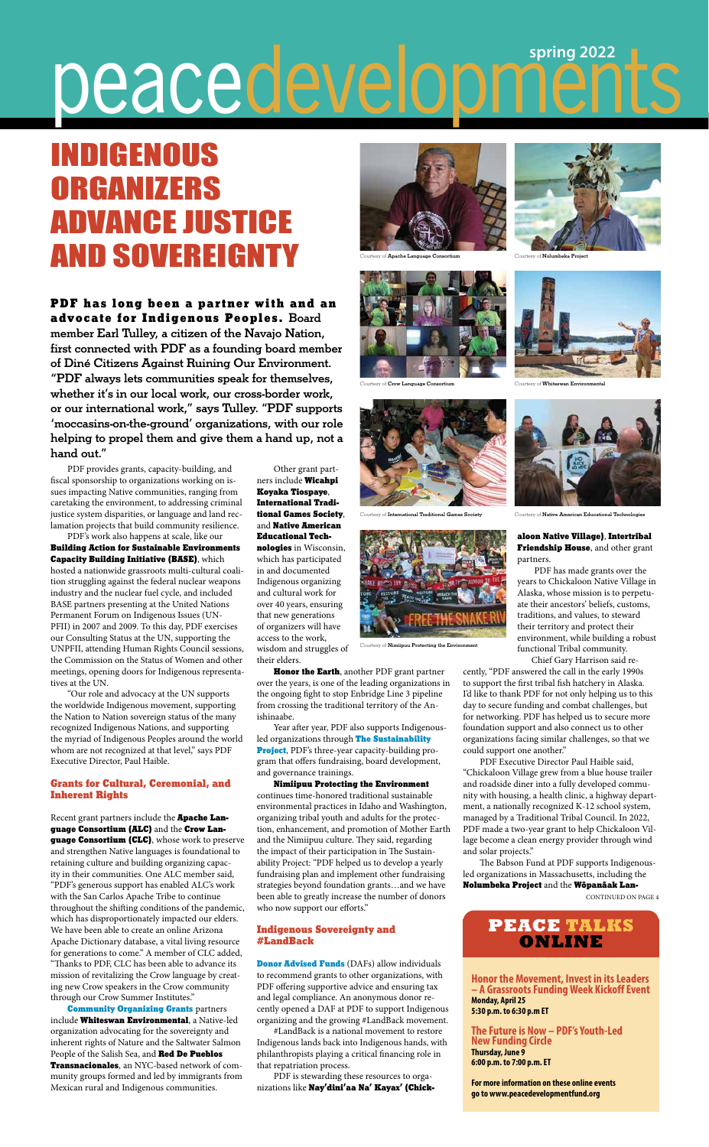PDF provides grants, capacity-building, and fiscal sponsorship to organizations working on issues impacting Native communities, ranging from caretaking the environment, to addressing criminal justice system disparities, or language and land reclamation projects that build community resilience.

PDF's work also happens at scale, like our Building Action for Sustainable Environments Capacity Building Initiative (BASE), which hosted a nationwide grassroots multi-cultural coalition struggling against the federal nuclear weapons industry and the nuclear fuel cycle, and included BASE partners presenting at the United Nations Permanent Forum on Indigenous Issues (UN-PFII) in 2007 and 2009. To this day, PDF exercises our Consulting Status at the UN, supporting the UNPFII, attending Human Rights Council sessions, the Commission on the Status of Women and other meetings, opening doors for Indigenous representatives at the UN.

"Our role and advocacy at the UN supports the worldwide Indigenous movement, supporting the Nation to Nation sovereign status of the many recognized Indigenous Nations, and supporting the myriad of Indigenous Peoples around the world whom are not recognized at that level," says PDF Executive Director, Paul Haible.

Recent grant partners include the Apache Language Consortium (ALC) and the Crow Lan**guage Consortium (CLC)**, whose work to preserve and strengthen Native languages is foundational to retaining culture and building organizing capacity in their communities. One ALC member said, "PDF's generous support has enabled ALC's work with the San Carlos Apache Tribe to continue throughout the shifting conditions of the pandemic, which has disproportionately impacted our elders. We have been able to create an online Arizona Apache Dictionary database, a vital living resource for generations to come." A member of CLC added, "Thanks to PDF, CLC has been able to advance its mission of revitalizing the Crow language by creating new Crow speakers in the Crow community through our Crow Summer Institutes." Community Organizing Grants partners include Whiteswan Environmental, a Native-led organization advocating for the sovereignty and inherent rights of Nature and the Saltwater Salmon People of the Salish Sea, and Red De Pueblos Transnacionales, an NYC-based network of community groups formed and led by immigrants from Mexican rural and Indigenous communities.

#### Grants for Cultural, Ceremonial, and Inherent Rights

Honor the Earth, another PDF grant partner over the years, is one of the leading organizations in the ongoing fight to stop Enbridge Line 3 pipeline from crossing the traditional territory of the Anishinaabe.

Other grant partners include Wicahpi Koyaka Tiospaye, International Traditional Games Society, and Native American Educational Technologies in Wisconsin, which has participated in and documented Indigenous organizing and cultural work for over 40 years, ensuring that new generations of organizers will have access to the work, wisdom and struggles of their elders.

Year after year, PDF also supports Indigenousled organizations through The Sustainability Project, PDF's three-year capacity-building program that offers fundraising, board development, and governance trainings.

Nimiipuu Protecting the Environment continues time-honored traditional sustainable environmental practices in Idaho and Washington, organizing tribal youth and adults for the protection, enhancement, and promotion of Mother Earth and the Nimiipuu culture. They said, regarding the impact of their participation in The Sustainability Project: "PDF helped us to develop a yearly fundraising plan and implement other fundraising strategies beyond foundation grants…and we have been able to greatly increase the number of donors who now support our efforts."

#### Indigenous Sovereignty and #LandBack

Donor Advised Funds (DAFs) allow individuals to recommend grants to other organizations, with PDF offering supportive advice and ensuring tax and legal compliance. An anonymous donor recently opened a DAF at PDF to support Indigenous organizing and the growing #LandBack movement.

#LandBack is a national movement to restore Indigenous lands back into Indigenous hands, with philanthropists playing a critical financing role in that repatriation process.

PDF is stewarding these resources to organizations like Nay'dini'aa Na' Kayax' (Chick-

#### aloon Native Village), Intertribal Friendship House, and other grant partners.

PDF has made grants over the years to Chickaloon Native Village in Alaska, whose mission is to perpetuate their ancestors' beliefs, customs, traditions, and values, to steward their territory and protect their environment, while building a robust functional Tribal community.

Chief Gary Harrison said re-

cently, "PDF answered the call in the early 1990s to support the first tribal fish hatchery in Alaska. I'd like to thank PDF for not only helping us to this day to secure funding and combat challenges, but for networking. PDF has helped us to secure more foundation support and also connect us to other organizations facing similar challenges, so that we could support one another."

PDF Executive Director Paul Haible said, "Chickaloon Village grew from a blue house trailer and roadside diner into a fully developed community with housing, a health clinic, a highway department, a nationally recognized K-12 school system, managed by a Traditional Tribal Council. In 2022, PDF made a two-year grant to help Chickaloon Village become a clean energy provider through wind

and solar projects."

The Babson Fund at PDF supports Indigenousled organizations in Massachusetts, including the Nolumbeka Project and the Wôpanâak Lan-

**Honor the Movement, Invest in its Leaders – A Grassroots Funding Week Kickoff Event Monday, April 25 5:30 p.m. to 6:30 p.m ET**

**The Future is Now – PDF's Youth-Led New Funding Circle Thursday, June 9 6:00 p.m. to 7:00 p.m. ET**

**For more information on these online events go to www.peacedevelopmentfund.org**

## **PEACE TALKS ONLINE**

# **spring 2022** peacedevelopr

# INDIGENOUS ORGANIZERS ADVANCE JUSTICE AND SOVEREIGNTY

PDF has long been a partner with and an advocate for Indigenous Peoples. Board member Earl Tulley, a citizen of the Navajo Nation, first connected with PDF as a founding board member of Diné Citizens Against Ruining Our Environment. "PDF always lets communities speak for themselves, whether it's in our local work, our cross-border work, or our international work," says Tulley. "PDF supports 'moccasins-on-the-ground' organizations, with our role helping to propel them and give them a hand up, not a hand out."

CONTINUED ON PAGE 4



Courtesy of Apache Language Consortium



Courtesy of Crow Language Co





Courtesy of Nimiipuu Protecting the Enviro



Courtesy of **Nolumbeka Project** 



Courtesy of Whiteswan Envir



Courtesy of Native American Educational Technologies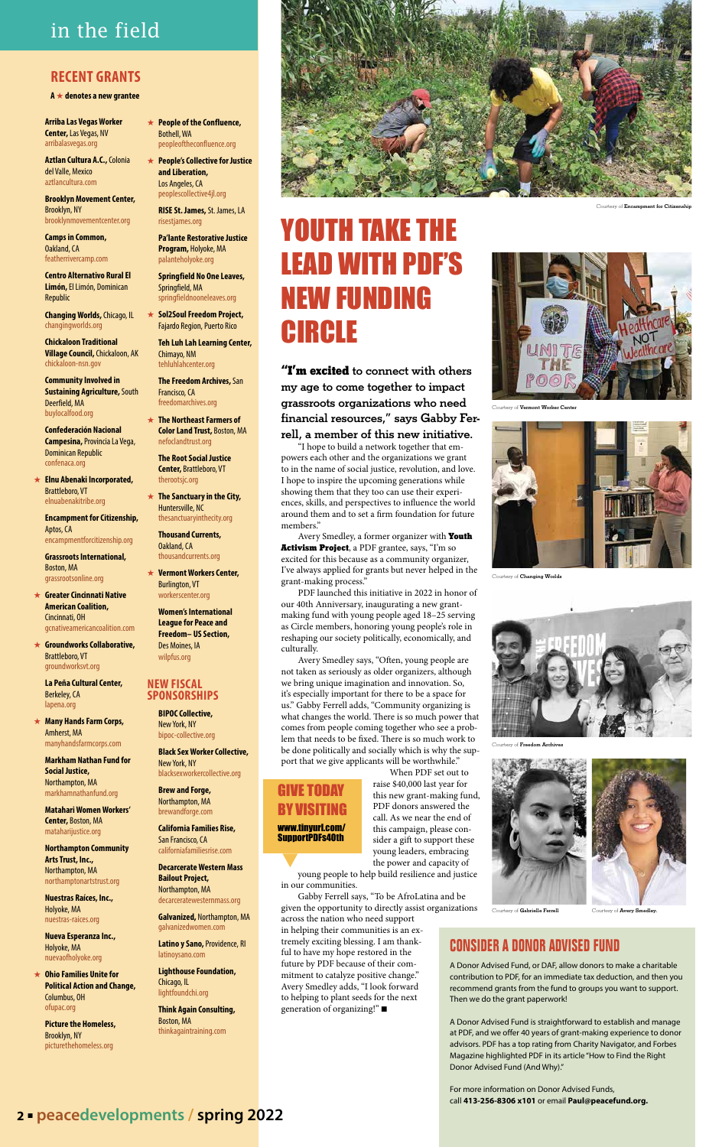"I'm excited to connect with others my age to come together to impact grassroots organizations who need financial resources," says Gabby Fer-

rell, a member of this new initiative.

"I hope to build a network together that empowers each other and the organizations we grant to in the name of social justice, revolution, and love. I hope to inspire the upcoming generations while showing them that they too can use their experiences, skills, and perspectives to influence the world around them and to set a firm foundation for future members."

Avery Smedley, a former organizer with Youth Activism Project, a PDF grantee, says, "I'm so excited for this because as a community organizer, I've always applied for grants but never helped in the grant-making process."

PDF launched this initiative in 2022 in honor of our 40th Anniversary, inaugurating a new grantmaking fund with young people aged 18–25 serving as Circle members, honoring young people's role in reshaping our society politically, economically, and culturally.

in helping their communities is an extremely exciting blessing. I am thankful to have my hope restored in the future by PDF because of their commitment to catalyze positive change." Avery Smedley adds, "I look forward to helping to plant seeds for the next generation of organizing!" $\blacksquare$ 

Avery Smedley says, "Often, young people are not taken as seriously as older organizers, although we bring unique imagination and innovation. So, it's especially important for there to be a space for us." Gabby Ferrell adds, "Community organizing is what changes the world. There is so much power that comes from people coming together who see a problem that needs to be fixed. There is so much work to be done politically and socially which is why the support that we give applicants will be worthwhile." When PDF set out to

**★ Elnu Abenaki Incorporated,** Brattleboro, VT elnuabenakitribe.org

> raise \$40,000 last year for this new grant-making fund, PDF donors answered the call. As we near the end of this campaign, please con-

- **★ Greater Cincinnati Native American Coalition,**  Cincinnati, OH gcnativeamericancoalition.com
- **★ Groundworks Collaborative,** Brattleboro, VT groundworksvt.org

**★ Many Hands Farm Corps,** Amherst, MA manyhandsfarmcorps.com

> sider a gift to support these young leaders, embracing the power and capacity of young people to help build resilience and justice

in our communities. Gabby Ferrell says, "To be AfroLatina and be given the opportunity to directly assist organizations across the nation who need support

- **★ People of the Confluence,** Bothell, WA peopleoftheconfluence.org
- W **People's Collective for Justice and Liberation,**  Los Angeles, CA peoplescollective4jl.org

**Sol2Soul Freedom Project,** Fajardo Region, Puerto Rico

## **2** m **peacedevelopments / spring 2022**

### **RECENT GRANTS**

**A** ★ denotes a new grantee

**★ The Sanctuary in the City,** Huntersville, NC thesanctuaryinthecity.org

# in the field

**Arriba Las Vegas Worker Center,** Las Vegas, NV arribalasvegas.org

> **★ Vermont Workers Center,** Burlington, VT workerscenter.org

**Aztlan Cultura A.C.,** Colonia del Valle, Mexico aztlancultura.com

**Brooklyn Movement Center,**  Brooklyn, NY brooklynmovementcenter.org

**Camps in Common,**  Oakland, CA featherrivercamp.com

**Centro Alternativo Rural El Limón,** El Limón, Dominican Republic

**Changing Worlds,** Chicago, IL changingworlds.org

**Chickaloon Traditional Village Council,** Chickaloon, AK chickaloon-nsn.gov

**Community Involved in Sustaining Agriculture,** South Deerfield, MA buylocalfood.org

**Confederación Nacional Campesina,** Provincia La Vega, Dominican Republic confenaca.org

**Encampment for Citizenship,**  Aptos, CA encampmentforcitizenship.org

**Grassroots International,**  Boston, MA grassrootsonline.org

**La Peña Cultural Center,**  Berkeley, CA lapena.org

**Markham Nathan Fund for Social Justice,**  Northampton, MA markhamnathanfund.org

**Matahari Women Workers' Center,** Boston, MA mataharijustice.org

**Northampton Community Arts Trust, Inc.,**  Northampton, MA northamptonartstrust.org

**Nuestras Raíces, Inc.,**  Holyoke, MA nuestras-raices.org

**Nueva Esperanza Inc.,**  Holyoke, MA nuevaofholyoke.org

W **Ohio Families Unite for Political Action and Change,**  Columbus, OH ofupac.org

**Picture the Homeless,**  Brooklyn, NY picturethehomeless.org

**RISE St. James,** St. James, LA risestjames.org

**Pa'lante Restorative Justice** 

**Program,** Holyoke, MA palanteholyoke.org **Springfield No One Leaves,** 

Springfield, MA springfieldnooneleaves.org

**Teh Luh Lah Learning Center,**  Chimayo, NM tehluhlahcenter.org

**The Freedom Archives,** San Francisco, CA freedomarchives.org

W **The Northeast Farmers of Color Land Trust,** Boston, MA nefoclandtrust.org

**The Root Social Justice Center,** Brattleboro, VT therootsjc.org

**Thousand Currents,**  Oakland, CA thousandcurrents.org

**Women's International League for Peace and Freedom– US Section,**  Des Moines, IA wilpfus.org

#### **NEW FISCAL SPONSORSHIPS**

**BIPOC Collective,**  New York, NY bipoc-collective.org

**Black Sex Worker Collective,**  New York, NY blacksexworkercollective.org

**Brew and Forge,**  Northampton, MA brewandforge.com

**California Families Rise,**  San Francisco, CA

californiafamiliesrise.com

**Decarcerate Western Mass Bailout Project,**  Northampton, MA decarceratewesternmass.org

**Galvanized,** Northampton, MA galvanizedwomen.com

**Latino y Sano,** Providence, RI latinoysano.com

**Lighthouse Foundation,**  Chicago, IL lightfoundchi.org

**Think Again Consulting,**  Boston, MA thinkagaintraining.com

#### **CONSIDER A DONOR ADVISED FUND**

A Donor Advised Fund, or DAF, allow donors to make a charitable contribution to PDF, for an immediate tax deduction, and then you recommend grants from the fund to groups you want to support. Then we do the grant paperwork!

A Donor Advised Fund is straightforward to establish and manage at PDF, and we offer 40 years of grant-making experience to donor advisors. PDF has a top rating from Charity Navigator, and Forbes Magazine highlighted PDF in its article "How to Find the Right Donor Advised Fund (And Why)."

For more information on Donor Advised Funds, call **413-256-8306 x101** or email **Paul@peacefund.org.**

# YOUTH TAKE THE LEAD WITH PDF'S NEW FUNDING CIRCLE





Courtesy of Vermont Worker Center



Courtesy of Changing Worlds



Courtesy of Freedom Archives



Courtesy of Gabrielle Ferrell Courtesy of Avery Smedley.

### GIVE TODAY BY VISITING

#### www.tinyurl.com/ SupportPDFs40th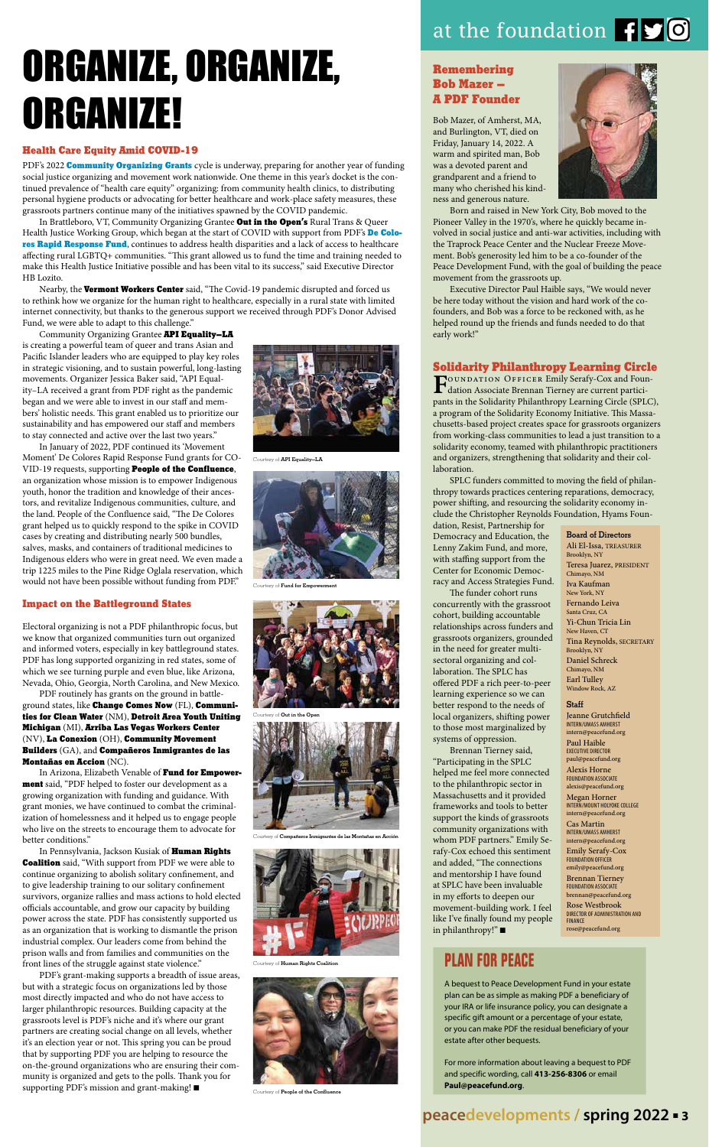## **peacedevelopments / spring 2022** m **3**

#### Health Care Equity Amid COVID-19

PDF's 2022 **Community Organizing Grants** cycle is underway, preparing for another year of funding social justice organizing and movement work nationwide. One theme in this year's docket is the continued prevalence of "health care equity" organizing: from community health clinics, to distributing personal hygiene products or advocating for better healthcare and work-place safety measures, these grassroots partners continue many of the initiatives spawned by the COVID pandemic.

In Brattleboro, VT, Community Organizing Grantee Out in the Open's Rural Trans & Queer Health Justice Working Group, which began at the start of COVID with support from PDF's De Colores Rapid Response Fund, continues to address health disparities and a lack of access to healthcare affecting rural LGBTQ+ communities. "This grant allowed us to fund the time and training needed to make this Health Justice Initiative possible and has been vital to its success," said Executive Director HB Lozito.

Nearby, the Vermont Workers Center said, "The Covid-19 pandemic disrupted and forced us to rethink how we organize for the human right to healthcare, especially in a rural state with limited internet connectivity, but thanks to the generous support we received through PDF's Donor Advised Fund, we were able to adapt to this challenge."

Community Organizing Grantee API Equality-LA is creating a powerful team of queer and trans Asian and Pacific Islander leaders who are equipped to play key roles in strategic visioning, and to sustain powerful, long-lasting movements. Organizer Jessica Baker said, "API Equality–LA received a grant from PDF right as the pandemic began and we were able to invest in our staff and members' holistic needs. This grant enabled us to prioritize our sustainability and has empowered our staff and members to stay connected and active over the last two years."

In Arizona, Elizabeth Venable of Fund for Empowerment said, "PDF helped to foster our development as a growing organization with funding and guidance. With grant monies, we have continued to combat the criminalization of homelessness and it helped us to engage people who live on the streets to encourage them to advocate for better conditions."

In Pennsylvania, Jackson Kusiak of Human Rights **Coalition** said, "With support from PDF we were able to continue organizing to abolish solitary confinement, and to give leadership training to our solitary confinement survivors, organize rallies and mass actions to hold elected officials accountable, and grow our capacity by building power across the state. PDF has consistently supported us as an organization that is working to dismantle the prison industrial complex. Our leaders come from behind the prison walls and from families and communities on the front lines of the struggle against state violence."

PDF's grant-making supports a breadth of issue areas, but with a strategic focus on organizations led by those most directly impacted and who do not have access to larger philanthropic resources. Building capacity at the grassroots level is PDF's niche and it's where our grant partners are creating social change on all levels, whether it's an election year or not. This spring you can be proud that by supporting PDF you are helping to resource the on-the-ground organizations who are ensuring their community is organized and gets to the polls. Thank you for supporting PDF's mission and grant-making!  $\blacksquare$ 

In January of 2022, PDF continued its 'Movement Moment' De Colores Rapid Response Fund grants for CO-VID-19 requests, supporting People of the Confluence, an organization whose mission is to empower Indigenous youth, honor the tradition and knowledge of their ancestors, and revitalize Indigenous communities, culture, and the land. People of the Confluence said, "The De Colores grant helped us to quickly respond to the spike in COVID cases by creating and distributing nearly 500 bundles, salves, masks, and containers of traditional medicines to Indigenous elders who were in great need. We even made a trip 1225 miles to the Pine Ridge Oglala reservation, which would not have been possible without funding from PDF."

#### Impact on the Battleground States

Electoral organizing is not a PDF philanthropic focus, but we know that organized communities turn out organized and informed voters, especially in key battleground states. PDF has long supported organizing in red states, some of which we see turning purple and even blue, like Arizona, Nevada, Ohio, Georgia, North Carolina, and New Mexico.

**FOUNDATION OFFICER Emily Serafy-Cox and Foun-**<br>dation Associate Brennan Tierney are current participants in the Solidarity Philanthropy Learning Circle (SPLC), a program of the Solidarity Economy Initiative. This Massachusetts-based project creates space for grassroots organizers from working-class communities to lead a just transition to a solidarity economy, teamed with philanthropic practitioners and organizers, strengthening that solidarity and their collaboration.

PDF routinely has grants on the ground in battleground states, like Change Comes Now (FL), Communities for Clean Water (NM), Detroit Area Youth Uniting Michigan (MI), Arriba Las Vegas Workers Center (NV), La Conexion (OH), Community Movement Builders (GA), and Compañeros Inmigrantes de las Montañas en Accion (NC).

Brennan Tierney said, "Participating in the SPLC helped me feel more connected to the philanthropic sector in Massachusetts and it provided frameworks and tools to better support the kinds of grassroots community organizations with whom PDF partners." Emily Serafy-Cox echoed this sentiment and added, "The connections and mentorship I have found at SPLC have been invaluable in my efforts to deepen our movement-building work. I feel like I've finally found my people in philanthropy!" $\blacksquare$ 

#### Remembering Bob Mazer – A PDF Founder

Bob Mazer, of Amherst, MA, and Burlington, VT, died on Friday, January 14, 2022. A warm and spirited man, Bob was a devoted parent and grandparent and a friend to many who cherished his kindness and generous nature.



Born and raised in New York City, Bob moved to the Pioneer Valley in the 1970's, where he quickly became involved in social justice and anti-war activities, including with the Traprock Peace Center and the Nuclear Freeze Movement. Bob's generosity led him to be a co-founder of the Peace Development Fund, with the goal of building the peace movement from the grassroots up.

Executive Director Paul Haible says, "We would never be here today without the vision and hard work of the cofounders, and Bob was a force to be reckoned with, as he helped round up the friends and funds needed to do that early work!"

#### Solidarity Philanthropy Learning Circle

SPLC funders committed to moving the field of philanthropy towards practices centering reparations, democracy, power shifting, and resourcing the solidarity economy include the Christopher Reynolds Foundation, Hyams Foun-

dation, Resist, Partnership for Democracy and Education, the Lenny Zakim Fund, and more, with staffing support from the Center for Economic Democracy and Access Strategies Fund.

The funder cohort runs concurrently with the grassroot cohort, building accountable relationships across funders and grassroots organizers, grounded in the need for greater multisectoral organizing and collaboration. The SPLC has offered PDF a rich peer-to-peer learning experience so we can better respond to the needs of local organizers, shifting power to those most marginalized by systems of oppression.

# ORGANIZE, ORGANIZE, ORGANIZE!

# **PLAN FOR PEACE**

A bequest to Peace Development Fund in your estate plan can be as simple as making PDF a beneficiary of your IRA or life insurance policy, you can designate a specific gift amount or a percentage of your estate, or you can make PDF the residual beneficiary of your estate after other bequests.

For more information about leaving a bequest to PDF and specific wording, call **413-256-8306** or email **Paul@peacefund.org**.



Courtesy of Compañeros Inmigrantes de las Montañas en Acción



Courtesy of Human Rights Coalition



Courtesy of People of the Confluence



Courtesy of API Equality–LA



Courtesy of Fund for Empowerment



Courtesy of Out in the Open

#### Board of Directors

Ali El-Issa, TREASURER Brooklyn, NY Teresa Juarez, PRESIDENT Chimayo, NM Iva Kaufman New York, NY Fernando Leiva Santa Cruz, CA Yi-Chun Tricia Lin New Haven, CT Tina Reynolds, SECRETARY Brooklyn, NY Daniel Schreck Chimayo, NM Earl Tulley Window Rock, AZ

#### **Staff**

Jeanne Grutchfield INTERN/UMASS AMHERST intern@peacefund.org Paul Haible EXECUTIVE DIRECTOR paul@peacefund.org

Alexis Horne FOUNDATION ASSOCIATE alexis@peacefund.org

Megan Horner INTERN/MOUNT HOLYOKE COLLEGE intern@peacefund.org Cas Martin

INTERN/UMASS AMHERST intern@peacefund.org

Emily Serafy-Cox FOUNDATION OFFICER emily@peacefund.org

Brennan Tierney FOUNDATION ASSOCIATE brennan@peacefund.org

Rose Westbrook DIRECTOR OF ADMINISTRATION AND FINANCE rose@peacefund.org